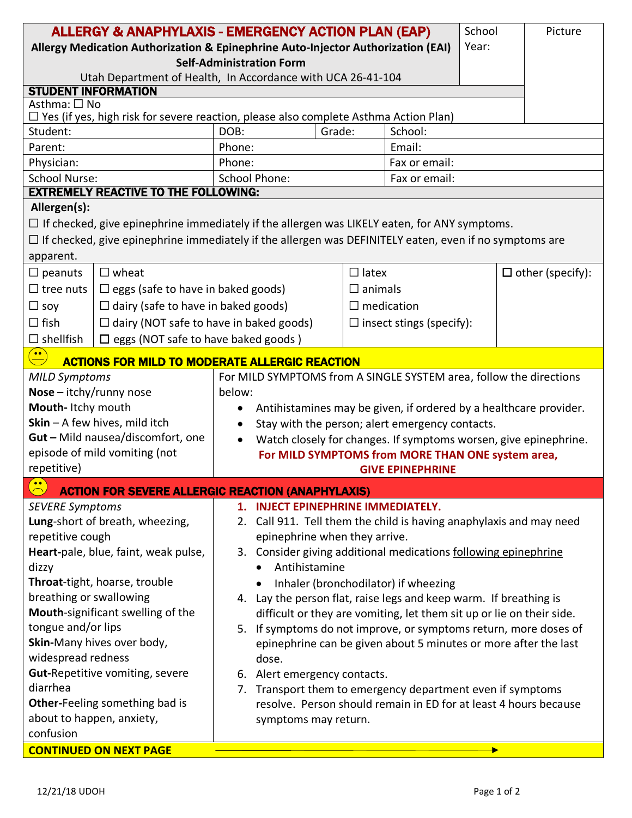| <b>ALLERGY &amp; ANAPHYLAXIS - EMERGENCY ACTION PLAN (EAP)</b>                                                |                                                |                                                                          |                   |                   |                                 |  |  | Picture |  |
|---------------------------------------------------------------------------------------------------------------|------------------------------------------------|--------------------------------------------------------------------------|-------------------|-------------------|---------------------------------|--|--|---------|--|
| Allergy Medication Authorization & Epinephrine Auto-Injector Authorization (EAI)                              |                                                |                                                                          |                   |                   |                                 |  |  |         |  |
| <b>Self-Administration Form</b>                                                                               |                                                |                                                                          |                   |                   |                                 |  |  |         |  |
| Utah Department of Health, In Accordance with UCA 26-41-104                                                   |                                                |                                                                          |                   |                   |                                 |  |  |         |  |
| <b>STUDENT INFORMATION</b>                                                                                    |                                                |                                                                          |                   |                   |                                 |  |  |         |  |
| Asthma: □ No<br>$\Box$ Yes (if yes, high risk for severe reaction, please also complete Asthma Action Plan)   |                                                |                                                                          |                   |                   |                                 |  |  |         |  |
| Student:                                                                                                      |                                                | DOB:                                                                     | Grade:<br>School: |                   |                                 |  |  |         |  |
| Parent:                                                                                                       |                                                | Phone:                                                                   |                   | Email:            |                                 |  |  |         |  |
| Physician:                                                                                                    |                                                | Phone:                                                                   |                   |                   | Fax or email:                   |  |  |         |  |
| <b>School Nurse:</b>                                                                                          |                                                | <b>School Phone:</b>                                                     |                   |                   | Fax or email:                   |  |  |         |  |
|                                                                                                               | <b>EXTREMELY REACTIVE TO THE FOLLOWING:</b>    |                                                                          |                   |                   |                                 |  |  |         |  |
| Allergen(s):                                                                                                  |                                                |                                                                          |                   |                   |                                 |  |  |         |  |
| $\Box$ If checked, give epinephrine immediately if the allergen was LIKELY eaten, for ANY symptoms.           |                                                |                                                                          |                   |                   |                                 |  |  |         |  |
| $\Box$ If checked, give epinephrine immediately if the allergen was DEFINITELY eaten, even if no symptoms are |                                                |                                                                          |                   |                   |                                 |  |  |         |  |
| apparent.                                                                                                     |                                                |                                                                          |                   |                   |                                 |  |  |         |  |
| $\Box$ peanuts                                                                                                | $\Box$ wheat                                   |                                                                          | $\Box$ latex      |                   | $\Box$ other (specify):         |  |  |         |  |
| $\Box$ tree nuts                                                                                              | $\Box$ eggs (safe to have in baked goods)      |                                                                          |                   | $\square$ animals |                                 |  |  |         |  |
| $\Box$ soy                                                                                                    | $\Box$ dairy (safe to have in baked goods)     |                                                                          |                   | $\Box$ medication |                                 |  |  |         |  |
| $\Box$ fish                                                                                                   | $\Box$ dairy (NOT safe to have in baked goods) |                                                                          |                   |                   | $\Box$ insect stings (specify): |  |  |         |  |
| $\Box$ shellfish                                                                                              | $\square$ eggs (NOT safe to have baked goods)  |                                                                          |                   |                   |                                 |  |  |         |  |
| $\left(\frac{}{}\right)$<br><b>ACTIONS FOR MILD TO MODERATE ALLERGIC REACTION</b>                             |                                                |                                                                          |                   |                   |                                 |  |  |         |  |
| For MILD SYMPTOMS from A SINGLE SYSTEM area, follow the directions<br><b>MILD Symptoms</b>                    |                                                |                                                                          |                   |                   |                                 |  |  |         |  |
| Nose - itchy/runny nose                                                                                       |                                                | below:                                                                   |                   |                   |                                 |  |  |         |  |
| Mouth-Itchy mouth                                                                                             |                                                | Antihistamines may be given, if ordered by a healthcare provider.        |                   |                   |                                 |  |  |         |  |
| Skin - A few hives, mild itch                                                                                 |                                                | Stay with the person; alert emergency contacts.                          |                   |                   |                                 |  |  |         |  |
| Gut - Mild nausea/discomfort, one                                                                             |                                                | Watch closely for changes. If symptoms worsen, give epinephrine.         |                   |                   |                                 |  |  |         |  |
| episode of mild vomiting (not                                                                                 |                                                | For MILD SYMPTOMS from MORE THAN ONE system area,                        |                   |                   |                                 |  |  |         |  |
| repetitive)                                                                                                   |                                                | <b>GIVE EPINEPHRINE</b>                                                  |                   |                   |                                 |  |  |         |  |
| $\bullet$<br><b>ACTION FOR SEVERE ALLERGIC REACTION (ANAPHYLAXIS)</b>                                         |                                                |                                                                          |                   |                   |                                 |  |  |         |  |
| <b>SEVERE Symptoms</b>                                                                                        |                                                | 1. INJECT EPINEPHRINE IMMEDIATELY.                                       |                   |                   |                                 |  |  |         |  |
| Lung-short of breath, wheezing,                                                                               |                                                | 2. Call 911. Tell them the child is having anaphylaxis and may need      |                   |                   |                                 |  |  |         |  |
| repetitive cough                                                                                              |                                                | epinephrine when they arrive.                                            |                   |                   |                                 |  |  |         |  |
| Heart-pale, blue, faint, weak pulse,                                                                          |                                                | 3. Consider giving additional medications following epinephrine          |                   |                   |                                 |  |  |         |  |
| dizzy                                                                                                         |                                                | Antihistamine                                                            |                   |                   |                                 |  |  |         |  |
| Throat-tight, hoarse, trouble                                                                                 |                                                | Inhaler (bronchodilator) if wheezing                                     |                   |                   |                                 |  |  |         |  |
| breathing or swallowing                                                                                       |                                                | 4. Lay the person flat, raise legs and keep warm. If breathing is        |                   |                   |                                 |  |  |         |  |
| Mouth-significant swelling of the<br>tongue and/or lips                                                       |                                                | difficult or they are vomiting, let them sit up or lie on their side.    |                   |                   |                                 |  |  |         |  |
| Skin-Many hives over body,                                                                                    |                                                | If symptoms do not improve, or symptoms return, more doses of<br>5.      |                   |                   |                                 |  |  |         |  |
| widespread redness                                                                                            |                                                | epinephrine can be given about 5 minutes or more after the last<br>dose. |                   |                   |                                 |  |  |         |  |
| Gut-Repetitive vomiting, severe                                                                               |                                                | 6. Alert emergency contacts.                                             |                   |                   |                                 |  |  |         |  |
| diarrhea                                                                                                      |                                                | Transport them to emergency department even if symptoms<br>7.            |                   |                   |                                 |  |  |         |  |
| Other-Feeling something bad is                                                                                |                                                | resolve. Person should remain in ED for at least 4 hours because         |                   |                   |                                 |  |  |         |  |
| about to happen, anxiety,                                                                                     |                                                | symptoms may return.                                                     |                   |                   |                                 |  |  |         |  |
| confusion                                                                                                     |                                                |                                                                          |                   |                   |                                 |  |  |         |  |
| <b>CONTINUED ON NEXT PAGE</b>                                                                                 |                                                |                                                                          |                   |                   |                                 |  |  |         |  |